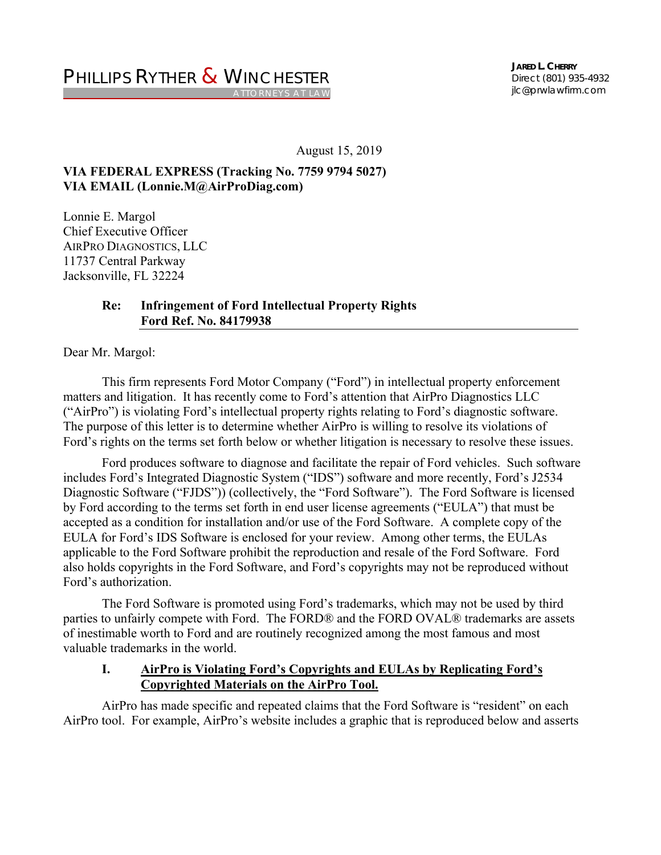**JARED L. CHERRY** *Direct (801) 935-4932*  jlc@prwlawfirm.com

August 15, 2019

# **VIA FEDERAL EXPRESS (Tracking No. 7759 9794 5027) VIA EMAIL (Lonnie.M@AirProDiag.com)**

Lonnie E. Margol Chief Executive Officer AIRPRO DIAGNOSTICS, LLC 11737 Central Parkway Jacksonville, FL 32224

## **Re: Infringement of Ford Intellectual Property Rights Ford Ref. No. 84179938**

Dear Mr. Margol:

 This firm represents Ford Motor Company ("Ford") in intellectual property enforcement matters and litigation. It has recently come to Ford's attention that AirPro Diagnostics LLC ("AirPro") is violating Ford's intellectual property rights relating to Ford's diagnostic software. The purpose of this letter is to determine whether AirPro is willing to resolve its violations of Ford's rights on the terms set forth below or whether litigation is necessary to resolve these issues.

 Ford produces software to diagnose and facilitate the repair of Ford vehicles. Such software includes Ford's Integrated Diagnostic System ("IDS") software and more recently, Ford's J2534 Diagnostic Software ("FJDS")) (collectively, the "Ford Software"). The Ford Software is licensed by Ford according to the terms set forth in end user license agreements ("EULA") that must be accepted as a condition for installation and/or use of the Ford Software. A complete copy of the EULA for Ford's IDS Software is enclosed for your review. Among other terms, the EULAs applicable to the Ford Software prohibit the reproduction and resale of the Ford Software. Ford also holds copyrights in the Ford Software, and Ford's copyrights may not be reproduced without Ford's authorization.

 The Ford Software is promoted using Ford's trademarks, which may not be used by third parties to unfairly compete with Ford. The FORD® and the FORD OVAL® trademarks are assets of inestimable worth to Ford and are routinely recognized among the most famous and most valuable trademarks in the world.

# **I. AirPro is Violating Ford's Copyrights and EULAs by Replicating Ford's Copyrighted Materials on the AirPro Tool.**

 AirPro has made specific and repeated claims that the Ford Software is "resident" on each AirPro tool. For example, AirPro's website includes a graphic that is reproduced below and asserts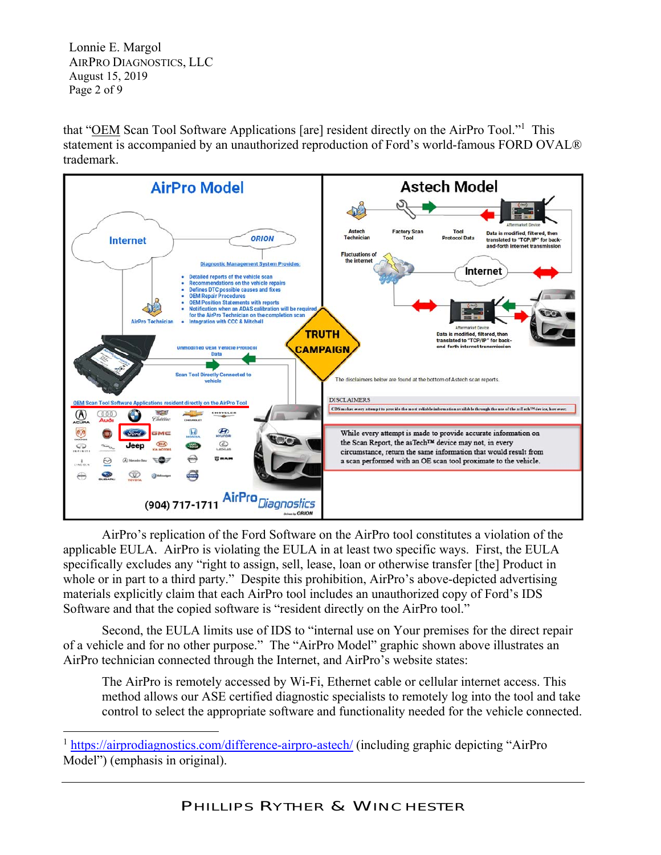Lonnie E. Margol AIRPRO DIAGNOSTICS, LLC August 15, 2019 Page 2 of 9

that "OEM Scan Tool Software Applications [are] resident directly on the AirPro Tool."<sup>1</sup> This statement is accompanied by an unauthorized reproduction of Ford's world-famous FORD OVAL® trademark.



 AirPro's replication of the Ford Software on the AirPro tool constitutes a violation of the applicable EULA. AirPro is violating the EULA in at least two specific ways. First, the EULA specifically excludes any "right to assign, sell, lease, loan or otherwise transfer [the] Product in whole or in part to a third party." Despite this prohibition, AirPro's above-depicted advertising materials explicitly claim that each AirPro tool includes an unauthorized copy of Ford's IDS Software and that the copied software is "resident directly on the AirPro tool."

 Second, the EULA limits use of IDS to "internal use on Your premises for the direct repair of a vehicle and for no other purpose." The "AirPro Model" graphic shown above illustrates an AirPro technician connected through the Internet, and AirPro's website states:

The AirPro is remotely accessed by Wi-Fi, Ethernet cable or cellular internet access. This method allows our ASE certified diagnostic specialists to remotely log into the tool and take control to select the appropriate software and functionality needed for the vehicle connected.

<sup>&</sup>lt;sup>1</sup> https://airprodiagnostics.com/difference-airpro-astech/ (including graphic depicting "AirPro Model") (emphasis in original).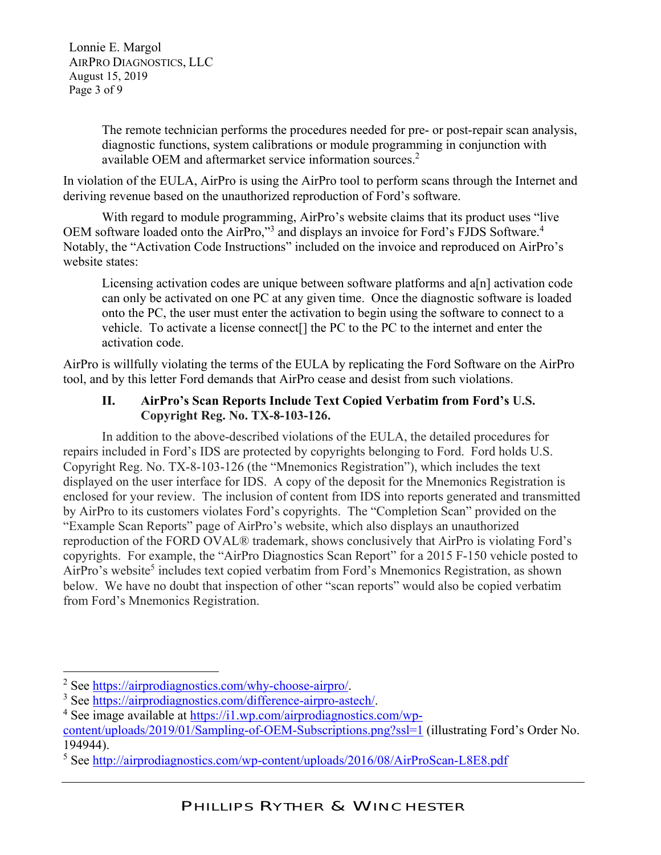Lonnie E. Margol AIRPRO DIAGNOSTICS, LLC August 15, 2019 Page 3 of 9

> The remote technician performs the procedures needed for pre- or post-repair scan analysis, diagnostic functions, system calibrations or module programming in conjunction with available OEM and aftermarket service information sources.<sup>2</sup>

In violation of the EULA, AirPro is using the AirPro tool to perform scans through the Internet and deriving revenue based on the unauthorized reproduction of Ford's software.

 With regard to module programming, AirPro's website claims that its product uses "live OEM software loaded onto the AirPro,"<sup>3</sup> and displays an invoice for Ford's FJDS Software.<sup>4</sup> Notably, the "Activation Code Instructions" included on the invoice and reproduced on AirPro's website states:

Licensing activation codes are unique between software platforms and a[n] activation code can only be activated on one PC at any given time. Once the diagnostic software is loaded onto the PC, the user must enter the activation to begin using the software to connect to a vehicle. To activate a license connect[] the PC to the PC to the internet and enter the activation code.

AirPro is willfully violating the terms of the EULA by replicating the Ford Software on the AirPro tool, and by this letter Ford demands that AirPro cease and desist from such violations.

# **II. AirPro's Scan Reports Include Text Copied Verbatim from Ford's U.S. Copyright Reg. No. TX-8-103-126.**

 In addition to the above-described violations of the EULA, the detailed procedures for repairs included in Ford's IDS are protected by copyrights belonging to Ford. Ford holds U.S. Copyright Reg. No. TX-8-103-126 (the "Mnemonics Registration"), which includes the text displayed on the user interface for IDS. A copy of the deposit for the Mnemonics Registration is enclosed for your review. The inclusion of content from IDS into reports generated and transmitted by AirPro to its customers violates Ford's copyrights. The "Completion Scan" provided on the "Example Scan Reports" page of AirPro's website, which also displays an unauthorized reproduction of the FORD OVAL® trademark, shows conclusively that AirPro is violating Ford's copyrights. For example, the "AirPro Diagnostics Scan Report" for a 2015 F-150 vehicle posted to AirPro's website<sup>5</sup> includes text copied verbatim from Ford's Mnemonics Registration, as shown below. We have no doubt that inspection of other "scan reports" would also be copied verbatim from Ford's Mnemonics Registration.

<sup>&</sup>lt;sup>2</sup> See https://airprodiagnostics.com/why-choose-airpro/.<br><sup>3</sup> See https://airprodiagnostics.com/difference-airpro-ast.

<sup>&</sup>lt;sup>3</sup> See https://airprodiagnostics.com/difference-airpro-astech/.

<sup>&</sup>lt;sup>4</sup> See image available at https://i1.wp.com/airprodiagnostics.com/wp-

content/uploads/2019/01/Sampling-of-OEM-Subscriptions.png?ssl=1 (illustrating Ford's Order No. 194944).

<sup>&</sup>lt;sup>5</sup> See http://airprodiagnostics.com/wp-content/uploads/2016/08/AirProScan-L8E8.pdf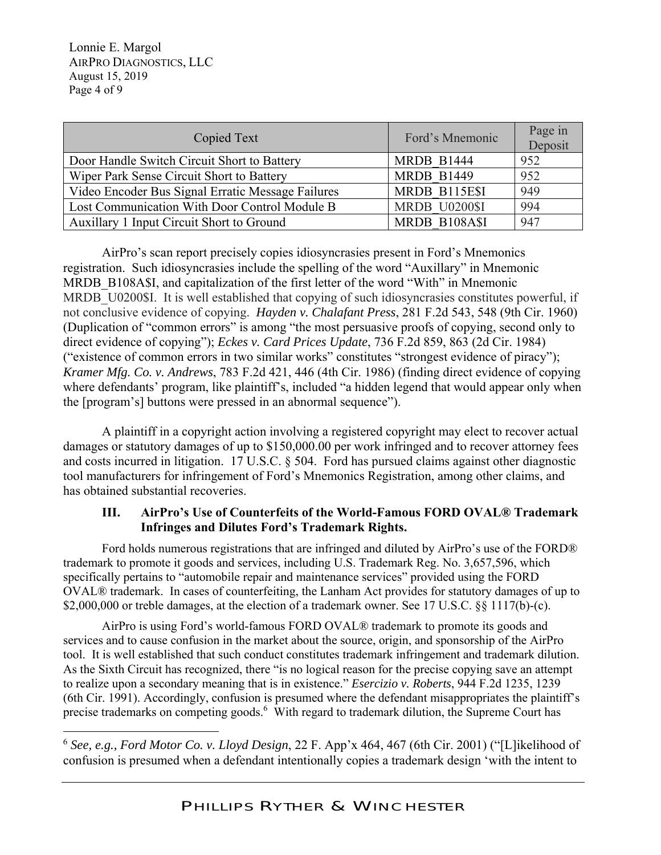Lonnie E. Margol AIRPRO DIAGNOSTICS, LLC August 15, 2019 Page 4 of 9

| Copied Text                                       | Ford's Mnemonic      | Page in<br>Deposit |
|---------------------------------------------------|----------------------|--------------------|
| Door Handle Switch Circuit Short to Battery       | MRDB B1444           | 952                |
| Wiper Park Sense Circuit Short to Battery         | <b>MRDB B1449</b>    | 952                |
| Video Encoder Bus Signal Erratic Message Failures | MRDB B115E\$I        | 949                |
| Lost Communication With Door Control Module B     | <b>MRDB U0200\$I</b> | 994                |
| Auxillary 1 Input Circuit Short to Ground         | MRDB B108A\$I        | 947                |

AirPro's scan report precisely copies idiosyncrasies present in Ford's Mnemonics registration. Such idiosyncrasies include the spelling of the word "Auxillary" in Mnemonic MRDB B108A\$I, and capitalization of the first letter of the word "With" in Mnemonic MRDB U0200\$I. It is well established that copying of such idiosyncrasies constitutes powerful, if not conclusive evidence of copying. *Hayden v. Chalafant Press*, 281 F.2d 543, 548 (9th Cir. 1960) (Duplication of "common errors" is among "the most persuasive proofs of copying, second only to direct evidence of copying"); *Eckes v. Card Prices Update*, 736 F.2d 859, 863 (2d Cir. 1984) ("existence of common errors in two similar works" constitutes "strongest evidence of piracy"); *Kramer Mfg. Co. v. Andrews*, 783 F.2d 421, 446 (4th Cir. 1986) (finding direct evidence of copying where defendants' program, like plaintiff's, included "a hidden legend that would appear only when the [program's] buttons were pressed in an abnormal sequence").

 A plaintiff in a copyright action involving a registered copyright may elect to recover actual damages or statutory damages of up to \$150,000.00 per work infringed and to recover attorney fees and costs incurred in litigation. 17 U.S.C. § 504. Ford has pursued claims against other diagnostic tool manufacturers for infringement of Ford's Mnemonics Registration, among other claims, and has obtained substantial recoveries.

# **III. AirPro's Use of Counterfeits of the World-Famous FORD OVAL® Trademark Infringes and Dilutes Ford's Trademark Rights.**

Ford holds numerous registrations that are infringed and diluted by AirPro's use of the FORD® trademark to promote it goods and services, including U.S. Trademark Reg. No. 3,657,596, which specifically pertains to "automobile repair and maintenance services" provided using the FORD OVAL® trademark. In cases of counterfeiting, the Lanham Act provides for statutory damages of up to \$2,000,000 or treble damages, at the election of a trademark owner. See 17 U.S.C. §§ 1117(b)-(c).

 AirPro is using Ford's world-famous FORD OVAL® trademark to promote its goods and services and to cause confusion in the market about the source, origin, and sponsorship of the AirPro tool. It is well established that such conduct constitutes trademark infringement and trademark dilution. As the Sixth Circuit has recognized, there "is no logical reason for the precise copying save an attempt to realize upon a secondary meaning that is in existence." *Esercizio v. Roberts*, 944 F.2d 1235, 1239 (6th Cir. 1991). Accordingly, confusion is presumed where the defendant misappropriates the plaintiff's precise trademarks on competing goods.<sup>6</sup> With regard to trademark dilution, the Supreme Court has

<sup>6</sup> *See, e.g., Ford Motor Co. v. Lloyd Design*, 22 F. App'x 464, 467 (6th Cir. 2001) ("[L]ikelihood of confusion is presumed when a defendant intentionally copies a trademark design 'with the intent to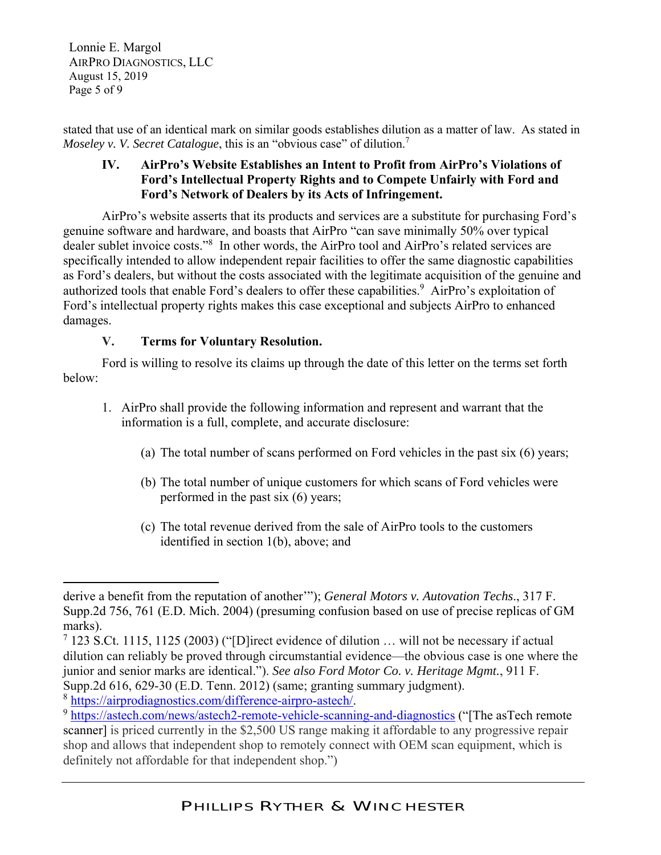Lonnie E. Margol AIRPRO DIAGNOSTICS, LLC August 15, 2019 Page 5 of 9

stated that use of an identical mark on similar goods establishes dilution as a matter of law. As stated in *Moseley v. V. Secret Catalogue, this is an "obvious case" of dilution.*<sup>7</sup>

# **IV. AirPro's Website Establishes an Intent to Profit from AirPro's Violations of Ford's Intellectual Property Rights and to Compete Unfairly with Ford and Ford's Network of Dealers by its Acts of Infringement.**

 AirPro's website asserts that its products and services are a substitute for purchasing Ford's genuine software and hardware, and boasts that AirPro "can save minimally 50% over typical dealer sublet invoice costs."8 In other words, the AirPro tool and AirPro's related services are specifically intended to allow independent repair facilities to offer the same diagnostic capabilities as Ford's dealers, but without the costs associated with the legitimate acquisition of the genuine and authorized tools that enable Ford's dealers to offer these capabilities.<sup>9</sup> AirPro's exploitation of Ford's intellectual property rights makes this case exceptional and subjects AirPro to enhanced damages.

# **V. Terms for Voluntary Resolution.**

 Ford is willing to resolve its claims up through the date of this letter on the terms set forth below:

- 1. AirPro shall provide the following information and represent and warrant that the information is a full, complete, and accurate disclosure:
	- (a) The total number of scans performed on Ford vehicles in the past six (6) years;
	- (b) The total number of unique customers for which scans of Ford vehicles were performed in the past six (6) years;
	- (c) The total revenue derived from the sale of AirPro tools to the customers identified in section 1(b), above; and

derive a benefit from the reputation of another'"); *General Motors v. Autovation Techs*., 317 F. Supp.2d 756, 761 (E.D. Mich. 2004) (presuming confusion based on use of precise replicas of GM marks).

<sup>&</sup>lt;sup>7</sup> 123 S.Ct. 1115, 1125 (2003) ("[D]irect evidence of dilution ... will not be necessary if actual dilution can reliably be proved through circumstantial evidence—the obvious case is one where the junior and senior marks are identical."). *See also Ford Motor Co. v. Heritage Mgmt.*, 911 F. Supp.2d 616, 629-30 (E.D. Tenn. 2012) (same; granting summary judgment).<br>
<sup>8</sup> https://airprodiagnostics.com/difference-airpro-astech/.<br>
<sup>9</sup> https://astech.com/news/astech2-remote-vehicle-scanning-and-diagnostics ("[The asT

scanner] is priced currently in the \$2,500 US range making it affordable to any progressive repair shop and allows that independent shop to remotely connect with OEM scan equipment, which is definitely not affordable for that independent shop.")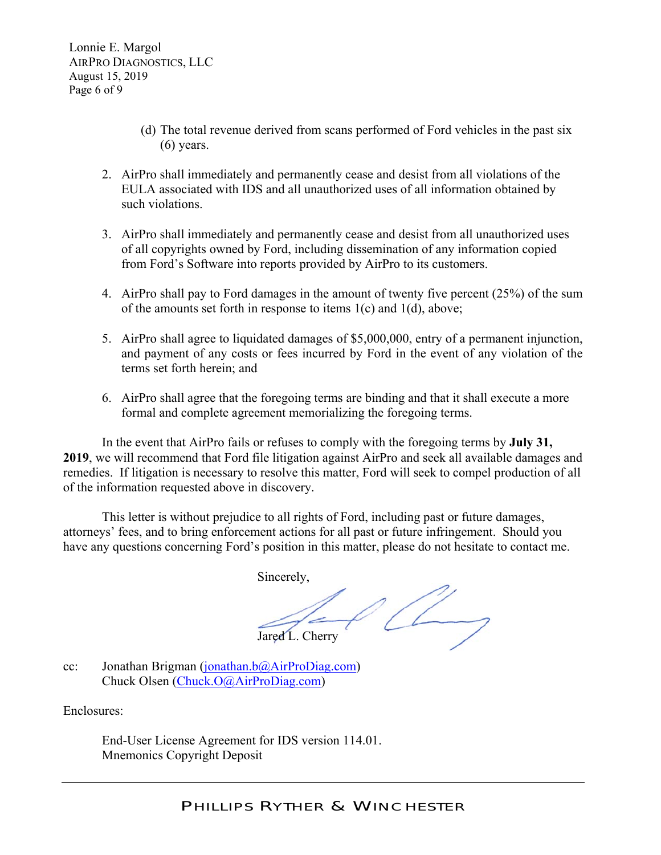Lonnie E. Margol AIRPRO DIAGNOSTICS, LLC August 15, 2019 Page 6 of 9

- (d) The total revenue derived from scans performed of Ford vehicles in the past six (6) years.
- 2. AirPro shall immediately and permanently cease and desist from all violations of the EULA associated with IDS and all unauthorized uses of all information obtained by such violations.
- 3. AirPro shall immediately and permanently cease and desist from all unauthorized uses of all copyrights owned by Ford, including dissemination of any information copied from Ford's Software into reports provided by AirPro to its customers.
- 4. AirPro shall pay to Ford damages in the amount of twenty five percent (25%) of the sum of the amounts set forth in response to items 1(c) and 1(d), above;
- 5. AirPro shall agree to liquidated damages of \$5,000,000, entry of a permanent injunction, and payment of any costs or fees incurred by Ford in the event of any violation of the terms set forth herein; and
- 6. AirPro shall agree that the foregoing terms are binding and that it shall execute a more formal and complete agreement memorializing the foregoing terms.

 In the event that AirPro fails or refuses to comply with the foregoing terms by **July 31, 2019**, we will recommend that Ford file litigation against AirPro and seek all available damages and remedies. If litigation is necessary to resolve this matter, Ford will seek to compel production of all of the information requested above in discovery.

This letter is without prejudice to all rights of Ford, including past or future damages, attorneys' fees, and to bring enforcement actions for all past or future infringement. Should you have any questions concerning Ford's position in this matter, please do not hesitate to contact me.

Sincerely,  $400-$ Jared L. Cherry

cc: Jonathan Brigman (jonathan.b@AirProDiag.com) Chuck Olsen (Chuck.O@AirProDiag.com)

Enclosures:

End-User License Agreement for IDS version 114.01. Mnemonics Copyright Deposit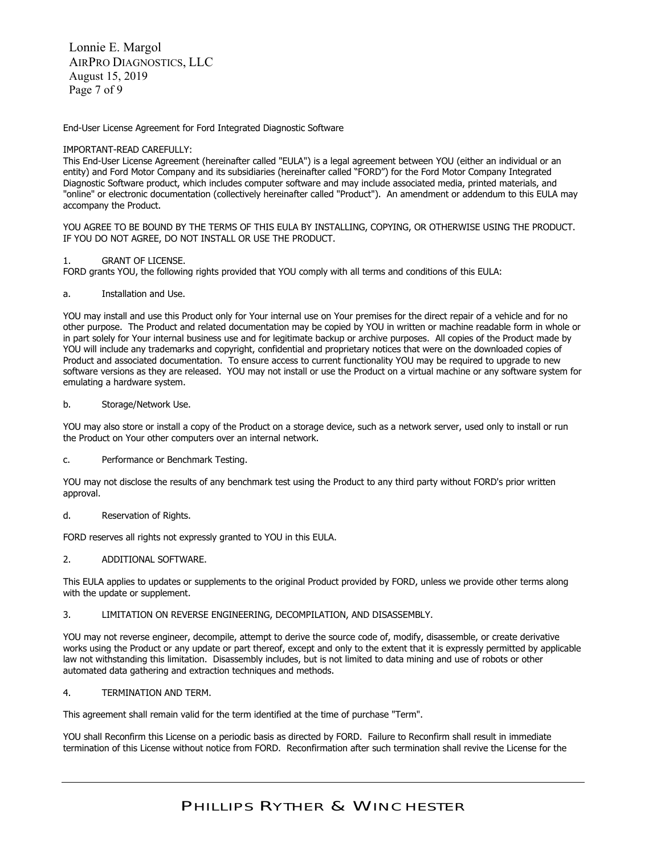Lonnie E. Margol AIRPRO DIAGNOSTICS, LLC August 15, 2019 Page 7 of 9

End-User License Agreement for Ford Integrated Diagnostic Software

#### IMPORTANT-READ CAREFULLY:

This End-User License Agreement (hereinafter called "EULA") is a legal agreement between YOU (either an individual or an entity) and Ford Motor Company and its subsidiaries (hereinafter called "FORD") for the Ford Motor Company Integrated Diagnostic Software product, which includes computer software and may include associated media, printed materials, and "online" or electronic documentation (collectively hereinafter called "Product"). An amendment or addendum to this EULA may accompany the Product.

YOU AGREE TO BE BOUND BY THE TERMS OF THIS EULA BY INSTALLING, COPYING, OR OTHERWISE USING THE PRODUCT. IF YOU DO NOT AGREE, DO NOT INSTALL OR USE THE PRODUCT.

### 1. GRANT OF LICENSE.

FORD grants YOU, the following rights provided that YOU comply with all terms and conditions of this EULA:

### a. Installation and Use.

YOU may install and use this Product only for Your internal use on Your premises for the direct repair of a vehicle and for no other purpose. The Product and related documentation may be copied by YOU in written or machine readable form in whole or in part solely for Your internal business use and for legitimate backup or archive purposes. All copies of the Product made by YOU will include any trademarks and copyright, confidential and proprietary notices that were on the downloaded copies of Product and associated documentation. To ensure access to current functionality YOU may be required to upgrade to new software versions as they are released. YOU may not install or use the Product on a virtual machine or any software system for emulating a hardware system.

### b. Storage/Network Use.

YOU may also store or install a copy of the Product on a storage device, such as a network server, used only to install or run the Product on Your other computers over an internal network.

#### c. Performance or Benchmark Testing.

YOU may not disclose the results of any benchmark test using the Product to any third party without FORD's prior written approval.

#### d. Reservation of Rights.

FORD reserves all rights not expressly granted to YOU in this EULA.

## 2. ADDITIONAL SOFTWARE.

This EULA applies to updates or supplements to the original Product provided by FORD, unless we provide other terms along with the update or supplement.

#### 3. LIMITATION ON REVERSE ENGINEERING, DECOMPILATION, AND DISASSEMBLY.

YOU may not reverse engineer, decompile, attempt to derive the source code of, modify, disassemble, or create derivative works using the Product or any update or part thereof, except and only to the extent that it is expressly permitted by applicable law not withstanding this limitation. Disassembly includes, but is not limited to data mining and use of robots or other automated data gathering and extraction techniques and methods.

## 4. TERMINATION AND TERM.

This agreement shall remain valid for the term identified at the time of purchase "Term".

YOU shall Reconfirm this License on a periodic basis as directed by FORD. Failure to Reconfirm shall result in immediate termination of this License without notice from FORD. Reconfirmation after such termination shall revive the License for the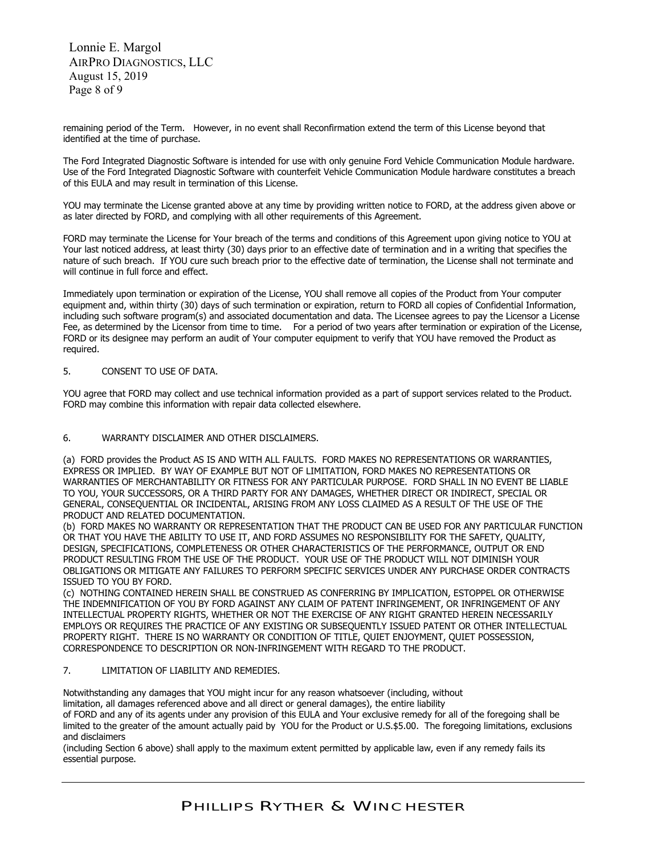Lonnie E. Margol AIRPRO DIAGNOSTICS, LLC August 15, 2019 Page 8 of 9

remaining period of the Term. However, in no event shall Reconfirmation extend the term of this License beyond that identified at the time of purchase.

The Ford Integrated Diagnostic Software is intended for use with only genuine Ford Vehicle Communication Module hardware. Use of the Ford Integrated Diagnostic Software with counterfeit Vehicle Communication Module hardware constitutes a breach of this EULA and may result in termination of this License.

YOU may terminate the License granted above at any time by providing written notice to FORD, at the address given above or as later directed by FORD, and complying with all other requirements of this Agreement.

FORD may terminate the License for Your breach of the terms and conditions of this Agreement upon giving notice to YOU at Your last noticed address, at least thirty (30) days prior to an effective date of termination and in a writing that specifies the nature of such breach. If YOU cure such breach prior to the effective date of termination, the License shall not terminate and will continue in full force and effect.

Immediately upon termination or expiration of the License, YOU shall remove all copies of the Product from Your computer equipment and, within thirty (30) days of such termination or expiration, return to FORD all copies of Confidential Information, including such software program(s) and associated documentation and data. The Licensee agrees to pay the Licensor a License Fee, as determined by the Licensor from time to time. For a period of two years after termination or expiration of the License, FORD or its designee may perform an audit of Your computer equipment to verify that YOU have removed the Product as required.

## 5. CONSENT TO USE OF DATA.

YOU agree that FORD may collect and use technical information provided as a part of support services related to the Product. FORD may combine this information with repair data collected elsewhere.

## 6. WARRANTY DISCLAIMER AND OTHER DISCLAIMERS.

(a) FORD provides the Product AS IS AND WITH ALL FAULTS. FORD MAKES NO REPRESENTATIONS OR WARRANTIES, EXPRESS OR IMPLIED. BY WAY OF EXAMPLE BUT NOT OF LIMITATION, FORD MAKES NO REPRESENTATIONS OR WARRANTIES OF MERCHANTABILITY OR FITNESS FOR ANY PARTICULAR PURPOSE. FORD SHALL IN NO EVENT BE LIABLE TO YOU, YOUR SUCCESSORS, OR A THIRD PARTY FOR ANY DAMAGES, WHETHER DIRECT OR INDIRECT, SPECIAL OR GENERAL, CONSEQUENTIAL OR INCIDENTAL, ARISING FROM ANY LOSS CLAIMED AS A RESULT OF THE USE OF THE PRODUCT AND RELATED DOCUMENTATION.

(b) FORD MAKES NO WARRANTY OR REPRESENTATION THAT THE PRODUCT CAN BE USED FOR ANY PARTICULAR FUNCTION OR THAT YOU HAVE THE ABILITY TO USE IT, AND FORD ASSUMES NO RESPONSIBILITY FOR THE SAFETY, QUALITY, DESIGN, SPECIFICATIONS, COMPLETENESS OR OTHER CHARACTERISTICS OF THE PERFORMANCE, OUTPUT OR END PRODUCT RESULTING FROM THE USE OF THE PRODUCT. YOUR USE OF THE PRODUCT WILL NOT DIMINISH YOUR OBLIGATIONS OR MITIGATE ANY FAILURES TO PERFORM SPECIFIC SERVICES UNDER ANY PURCHASE ORDER CONTRACTS ISSUED TO YOU BY FORD.

(c) NOTHING CONTAINED HEREIN SHALL BE CONSTRUED AS CONFERRING BY IMPLICATION, ESTOPPEL OR OTHERWISE THE INDEMNIFICATION OF YOU BY FORD AGAINST ANY CLAIM OF PATENT INFRINGEMENT, OR INFRINGEMENT OF ANY INTELLECTUAL PROPERTY RIGHTS, WHETHER OR NOT THE EXERCISE OF ANY RIGHT GRANTED HEREIN NECESSARILY EMPLOYS OR REQUIRES THE PRACTICE OF ANY EXISTING OR SUBSEQUENTLY ISSUED PATENT OR OTHER INTELLECTUAL PROPERTY RIGHT. THERE IS NO WARRANTY OR CONDITION OF TITLE, QUIET ENJOYMENT, QUIET POSSESSION, CORRESPONDENCE TO DESCRIPTION OR NON-INFRINGEMENT WITH REGARD TO THE PRODUCT.

## 7. LIMITATION OF LIABILITY AND REMEDIES.

Notwithstanding any damages that YOU might incur for any reason whatsoever (including, without limitation, all damages referenced above and all direct or general damages), the entire liability

of FORD and any of its agents under any provision of this EULA and Your exclusive remedy for all of the foregoing shall be limited to the greater of the amount actually paid by YOU for the Product or U.S.\$5.00. The foregoing limitations, exclusions and disclaimers

(including Section 6 above) shall apply to the maximum extent permitted by applicable law, even if any remedy fails its essential purpose.